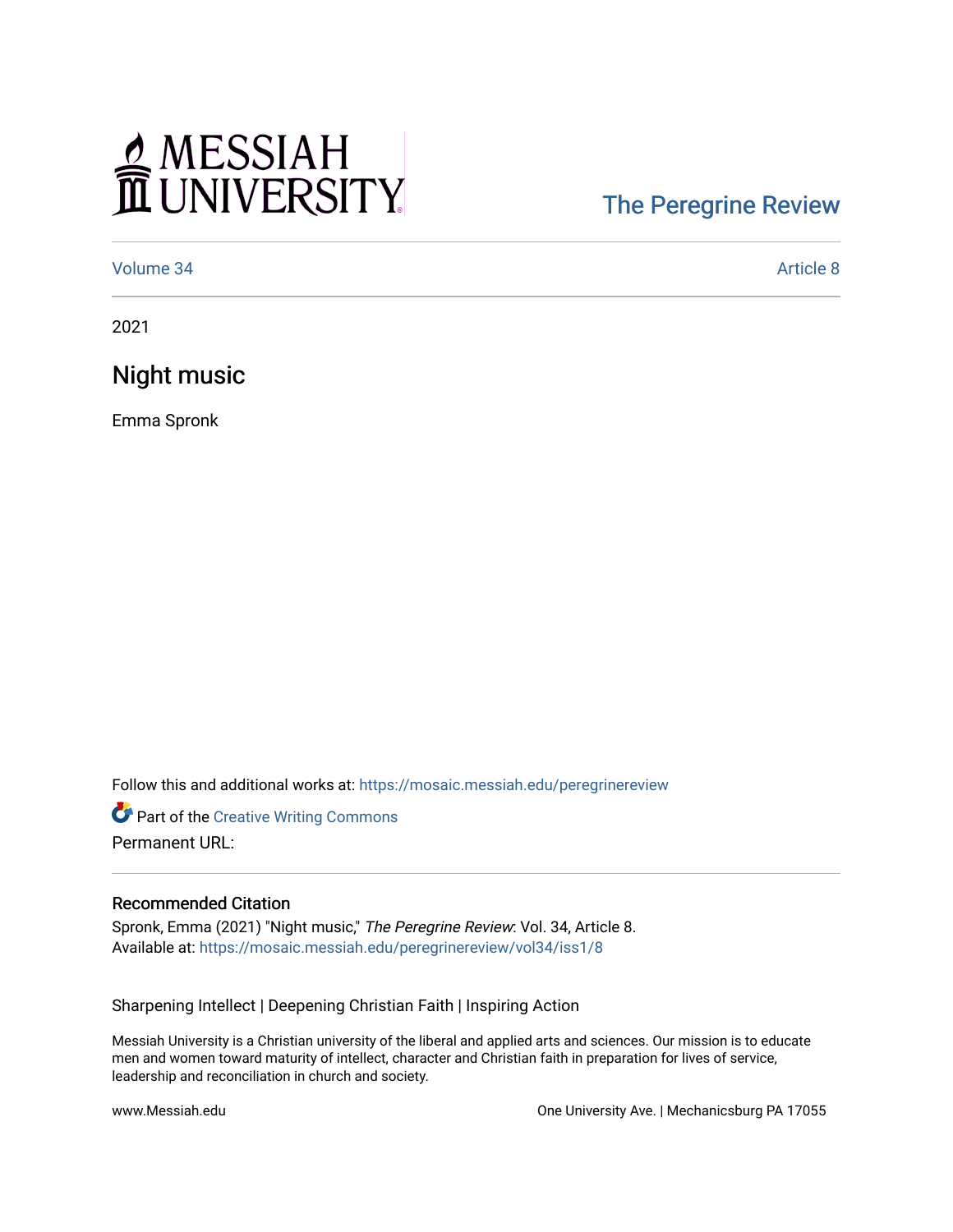## MESSIAH

## [The Peregrine Review](https://mosaic.messiah.edu/peregrinereview)

[Volume 34](https://mosaic.messiah.edu/peregrinereview/vol34) [Article 8](https://mosaic.messiah.edu/peregrinereview/vol34/iss1/8) 

2021

Night music

Emma Spronk

Follow this and additional works at: [https://mosaic.messiah.edu/peregrinereview](https://mosaic.messiah.edu/peregrinereview?utm_source=mosaic.messiah.edu%2Fperegrinereview%2Fvol34%2Fiss1%2F8&utm_medium=PDF&utm_campaign=PDFCoverPages) 

**Part of the Creative Writing Commons** Permanent URL:

## Recommended Citation

Spronk, Emma (2021) "Night music," The Peregrine Review: Vol. 34, Article 8. Available at: [https://mosaic.messiah.edu/peregrinereview/vol34/iss1/8](https://mosaic.messiah.edu/peregrinereview/vol34/iss1/8?utm_source=mosaic.messiah.edu%2Fperegrinereview%2Fvol34%2Fiss1%2F8&utm_medium=PDF&utm_campaign=PDFCoverPages) 

Sharpening Intellect | Deepening Christian Faith | Inspiring Action

Messiah University is a Christian university of the liberal and applied arts and sciences. Our mission is to educate men and women toward maturity of intellect, character and Christian faith in preparation for lives of service, leadership and reconciliation in church and society.

www.Messiah.edu One University Ave. | Mechanicsburg PA 17055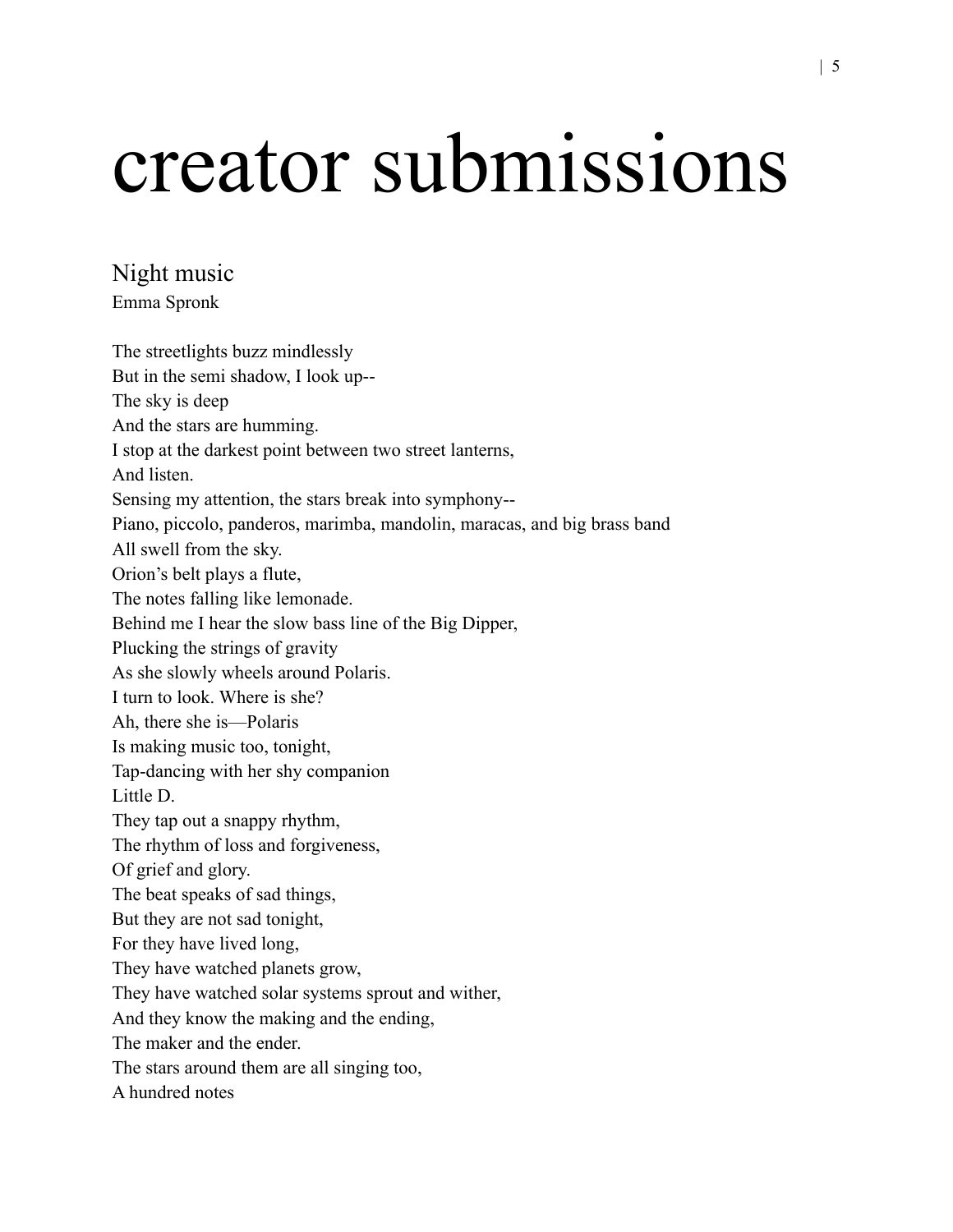## creator submissions

Night music Emma Spronk

The streetlights buzz mindlessly But in the semi shadow, I look up-- The sky is deep And the stars are humming. I stop at the darkest point between two street lanterns, And listen. Sensing my attention, the stars break into symphony-- Piano, piccolo, panderos, marimba, mandolin, maracas, and big brass band All swell from the sky. Orion's belt plays a flute, The notes falling like lemonade. Behind me I hear the slow bass line of the Big Dipper, Plucking the strings of gravity As she slowly wheels around Polaris. I turn to look. Where is she? Ah, there she is—Polaris Is making music too, tonight, Tap-dancing with her shy companion Little D. They tap out a snappy rhythm, The rhythm of loss and forgiveness, Of grief and glory. The beat speaks of sad things, But they are not sad tonight, For they have lived long, They have watched planets grow, They have watched solar systems sprout and wither, And they know the making and the ending, The maker and the ender. The stars around them are all singing too, A hundred notes